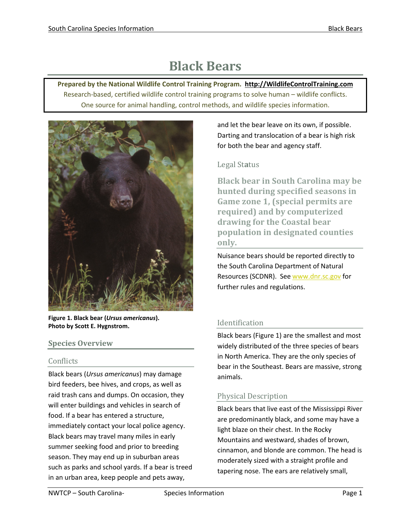# **Black Bears**

**Prepared by the National Wildlife Control Training Program. [http://WildlifeControlTraining.com](http://wildlifecontroltraining.com/)** Research-based, certified wildlife control training programs to solve human – wildlife conflicts. One source for animal handling, control methods, and wildlife species information.



**Figure 1. Black bear (***Ursus americanus***). Photo by Scott E. Hygnstrom.**

# **Species Overview**

# Conflicts

Black bears (*Ursus americanus*) may damage bird feeders, bee hives, and crops, as well as raid trash cans and dumps. On occasion, they will enter buildings and vehicles in search of food. If a bear has entered a structure, immediately contact your local police agency. Black bears may travel many miles in early summer seeking food and prior to breeding season. They may end up in suburban areas such as parks and school yards. If a bear is treed in an urban area, keep people and pets away,

and let the bear leave on its own, if possible. Darting and translocation of a bear is high risk for both the bear and agency staff.

# Legal St**a**tus

**Black bear in South Carolina may be hunted during specified seasons in Game zone 1, (special permits are required) and by computerized drawing for the Coastal bear population in designated counties only.** 

Nuisance bears should be reported directly to the South Carolina Department of Natural Resources (SCDNR). Se[e www.dnr.sc.gov](http://www.dnr.sc.gov/) for further rules and regulations.

# Identification

Black bears (Figure 1) are the smallest and most widely distributed of the three species of bears in North America. They are the only species of bear in the Southeast. Bears are massive, strong animals.

# Physical Description

Black bears that live east of the Mississippi River are predominantly black, and some may have a light blaze on their chest. In the Rocky Mountains and westward, shades of brown, cinnamon, and blonde are common. The head is moderately sized with a straight profile and tapering nose. The ears are relatively small,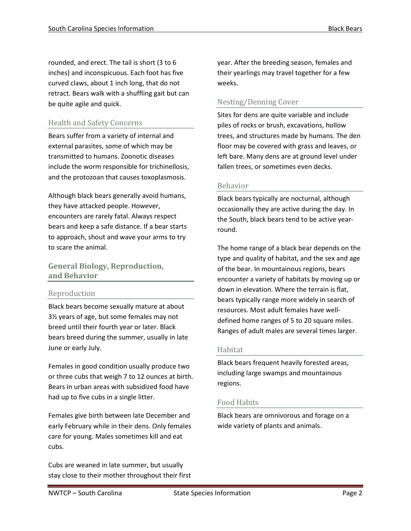rounded, and erect. The tail is short (3 to 6 inches) and inconspicuous. Each foot has five curved claws, about 1 inch long, that do not retract. Bears walk with a shuffling gait but can be quite agile and quick.

# Health and Safety Concerns

Bears suffer from a variety of internal and external parasites, some of which may be transmitted to humans. Zoonotic diseases include the worm responsible for trichinellosis, and the protozoan that causes toxoplasmosis.

Although black bears generally avoid humans, they have attacked people. However, encounters are rarely fatal. Always respect bears and keep a safe distance. If a bear starts to approach, shout and wave your arms to try to scare the animal.

# **General Biology, Reproduction, and Behavior**

# Reproduction

Black bears become sexually mature at about 3½ years of age, but some females may not breed until their fourth year or later. Black bears breed during the summer, usually in late June or early July.

Females in good condition usually produce two or three cubs that weigh 7 to 12 ounces at birth. Bears in urban areas with subsidized food have had up to five cubs in a single litter.

Females give birth between late December and early February while in their dens. Only females care for young. Males sometimes kill and eat cubs.

Cubs are weaned in late summer, but usually stay close to their mother throughout their first year. After the breeding season, females and their yearlings may travel together for a few weeks.

# Nesting/Denning Cover

Sites for dens are quite variable and include piles of rocks or brush, excavations, hollow trees, and structures made by humans. The den floor may be covered with grass and leaves, or left bare. Many dens are at ground level under fallen trees, or sometimes even decks.

## Behavior

Black bears typically are nocturnal, although occasionally they are active during the day. In the South, black bears tend to be active yearround.

The home range of a black bear depends on the type and quality of habitat, and the sex and age of the bear. In mountainous regions, bears encounter a variety of habitats by moving up or down in elevation. Where the terrain is flat, bears typically range more widely in search of resources. Most adult females have welldefined home ranges of 5 to 20 square miles. Ranges of adult males are several times larger.

# Habitat

Black bears frequent heavily forested areas, including large swamps and mountainous regions.

# Food Habits

Black bears are omnivorous and forage on a wide variety of plants and animals.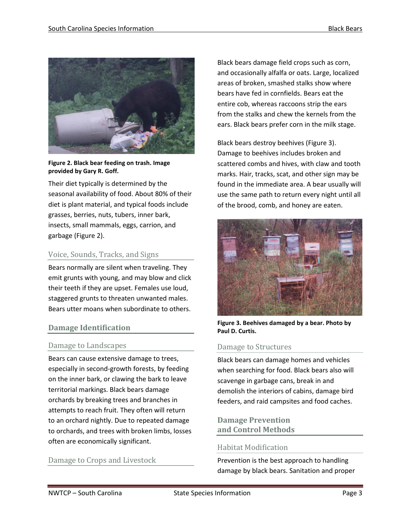

**Figure 2. Black bear feeding on trash. Image provided by Gary R. Goff.**

Their diet typically is determined by the seasonal availability of food. About 80% of their diet is plant material, and typical foods include grasses, berries, nuts, tubers, inner bark, insects, small mammals, eggs, carrion, and garbage (Figure 2).

#### Voice, Sounds, Tracks, and Signs

Bears normally are silent when traveling. They emit grunts with young, and may blow and click their teeth if they are upset. Females use loud, staggered grunts to threaten unwanted males. Bears utter moans when subordinate to others.

#### **Damage Identification**

#### Damage to Landscapes

Bears can cause extensive damage to trees, especially in second-growth forests, by feeding on the inner bark, or clawing the bark to leave territorial markings. Black bears damage orchards by breaking trees and branches in attempts to reach fruit. They often will return to an orchard nightly. Due to repeated damage to orchards, and trees with broken limbs, losses often are economically significant.

#### Damage to Crops and Livestock

Black bears damage field crops such as corn, and occasionally alfalfa or oats. Large, localized areas of broken, smashed stalks show where bears have fed in cornfields. Bears eat the entire cob, whereas raccoons strip the ears from the stalks and chew the kernels from the ears. Black bears prefer corn in the milk stage.

Black bears destroy beehives (Figure 3). Damage to beehives includes broken and scattered combs and hives, with claw and tooth marks. Hair, tracks, scat, and other sign may be found in the immediate area. A bear usually will use the same path to return every night until all of the brood, comb, and honey are eaten.



**Figure 3. Beehives damaged by a bear. Photo by Paul D. Curtis.**

#### Damage to Structures

Black bears can damage homes and vehicles when searching for food. Black bears also will scavenge in garbage cans, break in and demolish the interiors of cabins, damage bird feeders, and raid campsites and food caches.

## **Damage Prevention and Control Methods**

#### Habitat Modification

Prevention is the best approach to handling damage by black bears. Sanitation and proper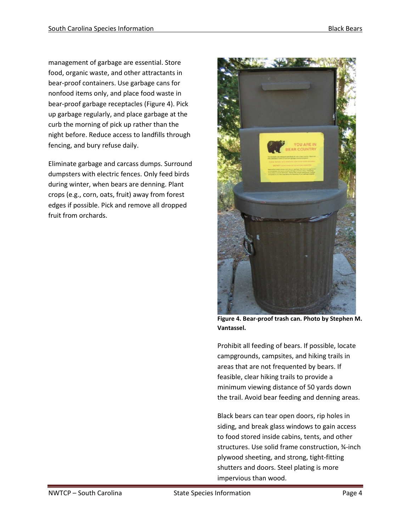management of garbage are essential. Store food, organic waste, and other attractants in bear-proof containers. Use garbage cans for nonfood items only, and place food waste in bear-proof garbage receptacles (Figure 4). Pick up garbage regularly, and place garbage at the curb the morning of pick up rather than the night before. Reduce access to landfills through fencing, and bury refuse daily.

Eliminate garbage and carcass dumps. Surround dumpsters with electric fences. Only feed birds during winter, when bears are denning. Plant crops (e.g., corn, oats, fruit) away from forest edges if possible. Pick and remove all dropped fruit from orchards.



**Figure 4. Bear-proof trash can. Photo by Stephen M. Vantassel.**

Prohibit all feeding of bears. If possible, locate campgrounds, campsites, and hiking trails in areas that are not frequented by bears. If feasible, clear hiking trails to provide a minimum viewing distance of 50 yards down the trail. Avoid bear feeding and denning areas.

Black bears can tear open doors, rip holes in siding, and break glass windows to gain access to food stored inside cabins, tents, and other structures. Use solid frame construction, ¾-inch plywood sheeting, and strong, tight-fitting shutters and doors. Steel plating is more impervious than wood.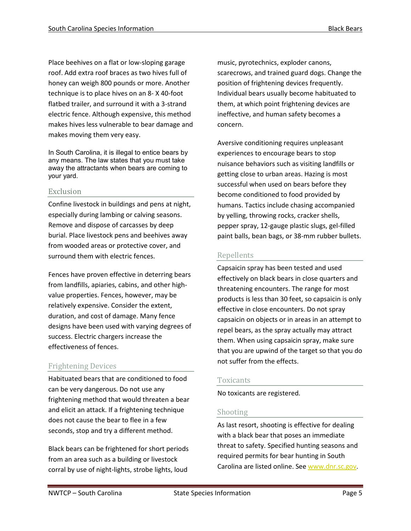Place beehives on a flat or low-sloping garage roof. Add extra roof braces as two hives full of honey can weigh 800 pounds or more. Another technique is to place hives on an 8- X 40-foot flatbed trailer, and surround it with a 3-strand electric fence. Although expensive, this method makes hives less vulnerable to bear damage and makes moving them very easy.

In South Carolina, it is illegal to entice bears by any means. The law states that you must take away the attractants when bears are coming to your yard.

#### Exclusion

Confine livestock in buildings and pens at night, especially during lambing or calving seasons. Remove and dispose of carcasses by deep burial. Place livestock pens and beehives away from wooded areas or protective cover, and surround them with electric fences.

Fences have proven effective in deterring bears from landfills, apiaries, cabins, and other highvalue properties. Fences, however, may be relatively expensive. Consider the extent, duration, and cost of damage. Many fence designs have been used with varying degrees of success. Electric chargers increase the effectiveness of fences.

# Frightening Devices

Habituated bears that are conditioned to food can be very dangerous. Do not use any frightening method that would threaten a bear and elicit an attack. If a frightening technique does not cause the bear to flee in a few seconds, stop and try a different method.

Black bears can be frightened for short periods from an area such as a building or livestock corral by use of night-lights, strobe lights, loud

music, pyrotechnics, exploder canons, scarecrows, and trained guard dogs. Change the position of frightening devices frequently. Individual bears usually become habituated to them, at which point frightening devices are ineffective, and human safety becomes a concern.

Aversive conditioning requires unpleasant experiences to encourage bears to stop nuisance behaviors such as visiting landfills or getting close to urban areas. Hazing is most successful when used on bears before they become conditioned to food provided by humans. Tactics include chasing accompanied by yelling, throwing rocks, cracker shells, pepper spray, 12-gauge plastic slugs, gel-filled paint balls, bean bags, or 38-mm rubber bullets.

# Repellents

Capsaicin spray has been tested and used effectively on black bears in close quarters and threatening encounters. The range for most products is less than 30 feet, so capsaicin is only effective in close encounters. Do not spray capsaicin on objects or in areas in an attempt to repel bears, as the spray actually may attract them. When using capsaicin spray, make sure that you are upwind of the target so that you do not suffer from the effects.

# Toxicants

No toxicants are registered.

# Shooting

As last resort, shooting is effective for dealing with a black bear that poses an immediate threat to safety. Specified hunting seasons and required permits for bear hunting in South Carolina are listed online. See [www.dnr.sc.gov.](http://www.dnr.sc.gov/)